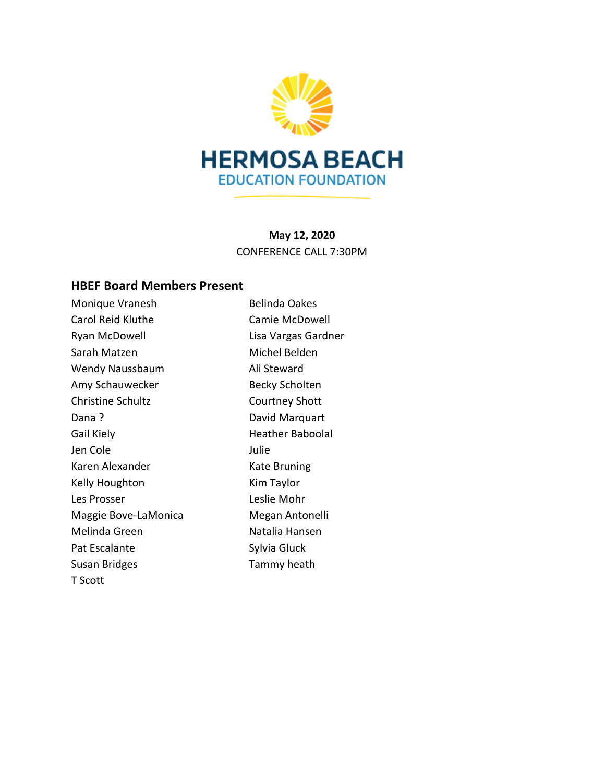

**May 12, 2020** CONFERENCE CALL 7:30PM

# **HBEF Board Members Present**

| Monique Vranesh          | <b>Belinda Oakes</b>    |
|--------------------------|-------------------------|
| <b>Carol Reid Kluthe</b> | Camie McDowell          |
| Ryan McDowell            | Lisa Vargas Gardner     |
| Sarah Matzen             | Michel Belden           |
| Wendy Naussbaum          | Ali Steward             |
| Amy Schauwecker          | <b>Becky Scholten</b>   |
| <b>Christine Schultz</b> | Courtney Shott          |
| Pana?                    | David Marquart          |
| Gail Kiely               | <b>Heather Baboolal</b> |
| Jen Cole                 | Julie                   |
| Karen Alexander          | Kate Bruning            |
| Kelly Houghton           | Kim Taylor              |
| Les Prosser              | Leslie Mohr             |
| Maggie Bove-LaMonica     | Megan Antonelli         |
| Melinda Green            | Natalia Hansen          |
| Pat Escalante            | Sylvia Gluck            |
| Susan Bridges            | Tammy heath             |
| T Scott                  |                         |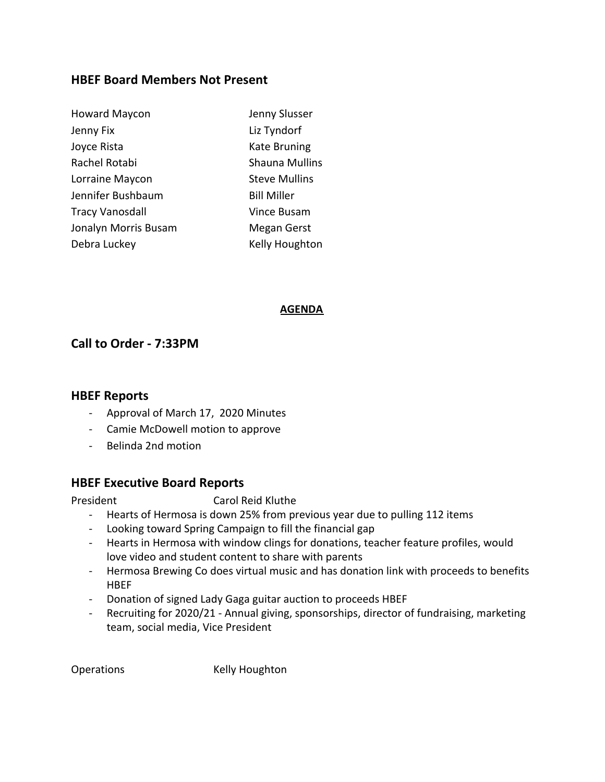#### **HBEF Board Members Not Present**

| <b>Howard Maycon</b> | Jenny Slusser         |
|----------------------|-----------------------|
| Jenny Fix            | Liz Tyndorf           |
| Joyce Rista          | Kate Bruning          |
| Rachel Rotabi        | <b>Shauna Mullins</b> |
| Lorraine Maycon      | <b>Steve Mullins</b>  |
| Jennifer Bushbaum    | <b>Bill Miller</b>    |
| Tracy Vanosdall      | Vince Busam           |
| Jonalyn Morris Busam | Megan Gerst           |
| Debra Luckey         | Kelly Houghton        |
|                      |                       |

#### **AGENDA**

# **Call to Order - 7:33PM**

#### **HBEF Reports**

- Approval of March 17, 2020 Minutes
- Camie McDowell motion to approve
- Belinda 2nd motion

# **HBEF Executive Board Reports**

President Carol Reid Kluthe

- Hearts of Hermosa is down 25% from previous year due to pulling 112 items
- Looking toward Spring Campaign to fill the financial gap
- Hearts in Hermosa with window clings for donations, teacher feature profiles, would love video and student content to share with parents
- Hermosa Brewing Co does virtual music and has donation link with proceeds to benefits **HBEF**
- Donation of signed Lady Gaga guitar auction to proceeds HBEF
- Recruiting for 2020/21 Annual giving, sponsorships, director of fundraising, marketing team, social media, Vice President

Operations Kelly Houghton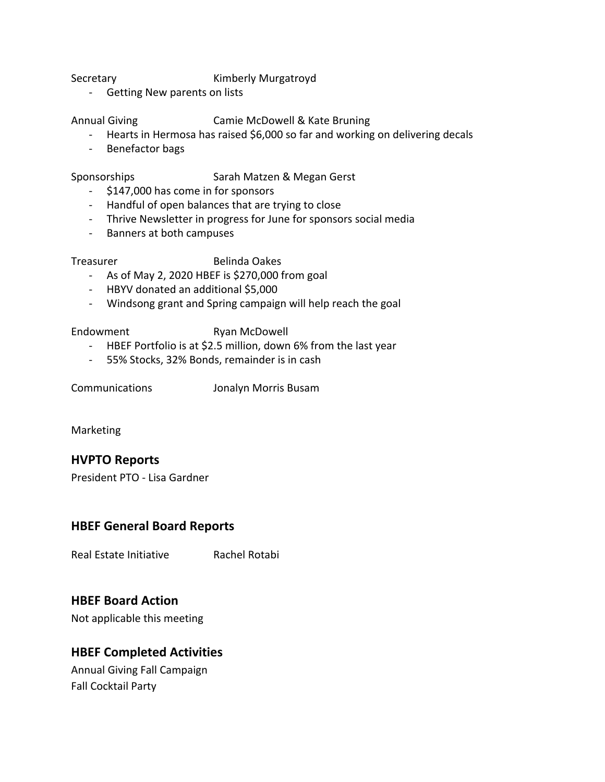#### Secretary **Kimberly Murgatroyd**

- Getting New parents on lists

#### Annual Giving Camie McDowell & Kate Bruning

- Hearts in Hermosa has raised \$6,000 so far and working on delivering decals
- Benefactor bags

Sponsorships Sarah Matzen & Megan Gerst

- \$147,000 has come in for sponsors
- Handful of open balances that are trying to close
- Thrive Newsletter in progress for June for sponsors social media
- Banners at both campuses

Treasurer Belinda Oakes

- As of May 2, 2020 HBEF is \$270,000 from goal
- HBYV donated an additional \$5,000
- Windsong grant and Spring campaign will help reach the goal

Endowment Ryan McDowell

- HBEF Portfolio is at \$2.5 million, down 6% from the last year
- 55% Stocks, 32% Bonds, remainder is in cash

Communications Jonalyn Morris Busam

Marketing

# **HVPTO Reports**

President PTO - Lisa Gardner

# **HBEF General Board Reports**

Real Estate Initiative Rachel Rotabi

# **HBEF Board Action**

Not applicable this meeting

# **HBEF Completed Activities**

Annual Giving Fall Campaign Fall Cocktail Party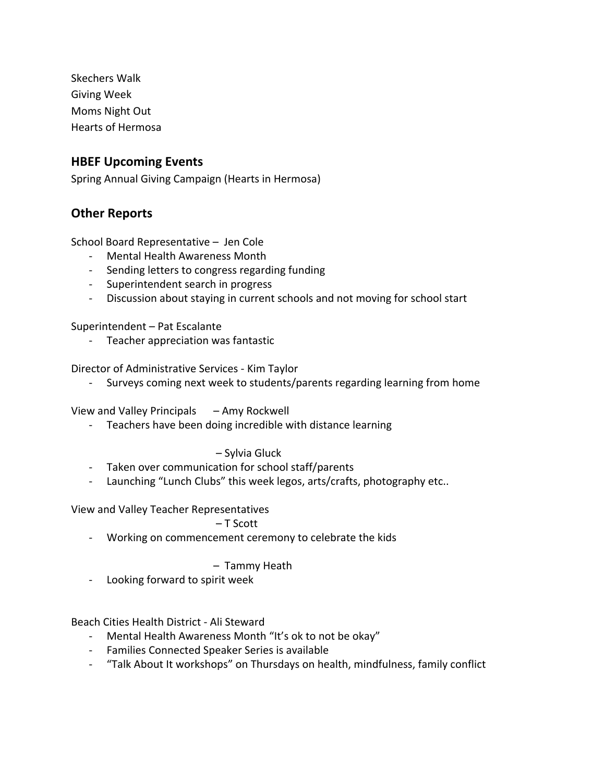Skechers Walk Giving Week Moms Night Out Hearts of Hermosa

#### **HBEF Upcoming Events**

Spring Annual Giving Campaign (Hearts in Hermosa)

#### **Other Reports**

School Board Representative – Jen Cole

- Mental Health Awareness Month
- Sending letters to congress regarding funding
- Superintendent search in progress
- Discussion about staying in current schools and not moving for school start

Superintendent – Pat Escalante

- Teacher appreciation was fantastic

Director of Administrative Services - Kim Taylor

- Surveys coming next week to students/parents regarding learning from home

View and Valley Principals – Amy Rockwell

- Teachers have been doing incredible with distance learning

#### – Sylvia Gluck

- Taken over communication for school staff/parents
- Launching "Lunch Clubs" this week legos, arts/crafts, photography etc..

View and Valley Teacher Representatives

#### – T Scott

- Working on commencement ceremony to celebrate the kids

#### – Tammy Heath

- Looking forward to spirit week

Beach Cities Health District - Ali Steward

- Mental Health Awareness Month "It's ok to not be okay"
- Families Connected Speaker Series is available
- "Talk About It workshops" on Thursdays on health, mindfulness, family conflict